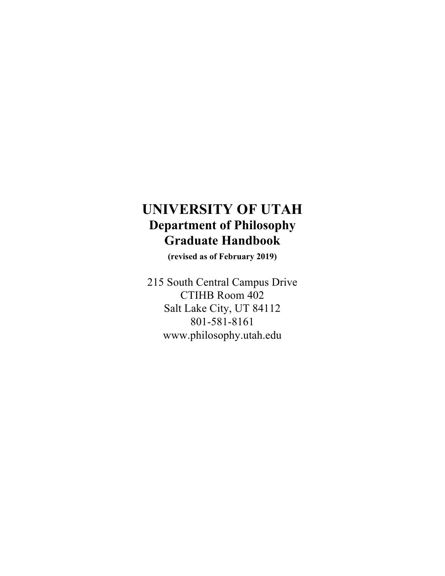# **UNIVERSITY OF UTAH Department of Philosophy Graduate Handbook**

**(revised as of February 2019)**

215 South Central Campus Drive CTIHB Room 402 Salt Lake City, UT 84112 801-581-8161 www.philosophy.utah.edu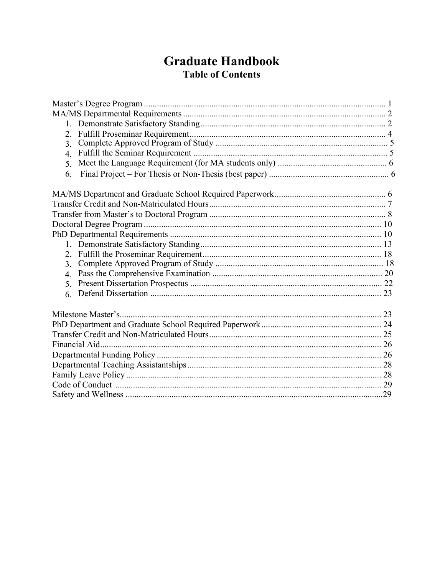# **Graduate Handbook Table of Contents**

| 2.             |  |  |  |
|----------------|--|--|--|
| 3 <sub>1</sub> |  |  |  |
| $\overline{4}$ |  |  |  |
| $\mathcal{F}$  |  |  |  |
| 6.             |  |  |  |
|                |  |  |  |
|                |  |  |  |
|                |  |  |  |
|                |  |  |  |
|                |  |  |  |
|                |  |  |  |
| 2 <sub>1</sub> |  |  |  |
| $\mathcal{E}$  |  |  |  |
| $\overline{4}$ |  |  |  |
| $\mathcal{F}$  |  |  |  |
| 6.             |  |  |  |
|                |  |  |  |
|                |  |  |  |
|                |  |  |  |
|                |  |  |  |
|                |  |  |  |
|                |  |  |  |
|                |  |  |  |
|                |  |  |  |
|                |  |  |  |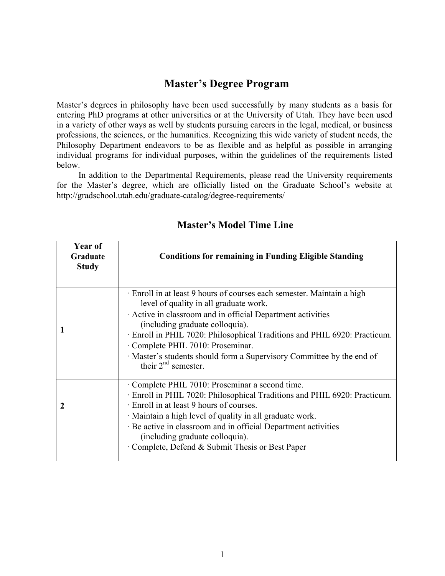## **Master's Degree Program**

Master's degrees in philosophy have been used successfully by many students as a basis for entering PhD programs at other universities or at the University of Utah. They have been used in a variety of other ways as well by students pursuing careers in the legal, medical, or business professions, the sciences, or the humanities. Recognizing this wide variety of student needs, the Philosophy Department endeavors to be as flexible and as helpful as possible in arranging individual programs for individual purposes, within the guidelines of the requirements listed below.

In addition to the Departmental Requirements, please read the University requirements for the Master's degree, which are officially listed on the Graduate School's website at http://gradschool.utah.edu/graduate-catalog/degree-requirements/

| Year of<br>Graduate<br><b>Study</b> | <b>Conditions for remaining in Funding Eligible Standing</b>                                                                                                                                                                                                                                                                                                                                                                      |
|-------------------------------------|-----------------------------------------------------------------------------------------------------------------------------------------------------------------------------------------------------------------------------------------------------------------------------------------------------------------------------------------------------------------------------------------------------------------------------------|
|                                     | Enroll in at least 9 hours of courses each semester. Maintain a high<br>level of quality in all graduate work.<br>Active in classroom and in official Department activities<br>(including graduate colloquia).<br>· Enroll in PHIL 7020: Philosophical Traditions and PHIL 6920: Practicum.<br>Complete PHIL 7010: Proseminar.<br>Master's students should form a Supervisory Committee by the end of<br>their $2^{nd}$ semester. |
| 2                                   | Complete PHIL 7010: Proseminar a second time.<br>Enroll in PHIL 7020: Philosophical Traditions and PHIL 6920: Practicum.<br>Enroll in at least 9 hours of courses.<br>· Maintain a high level of quality in all graduate work.<br>Be active in classroom and in official Department activities<br>(including graduate colloquia).<br>Complete, Defend & Submit Thesis or Best Paper                                               |

## **Master's Model Time Line**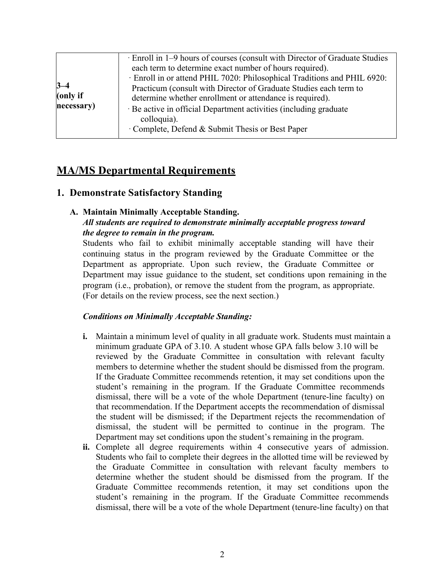| $3 - 4$<br>(only if<br>necessary) | · Enroll in 1–9 hours of courses (consult with Director of Graduate Studies<br>each term to determine exact number of hours required).<br>· Enroll in or attend PHIL 7020: Philosophical Traditions and PHIL 6920:<br>Practicum (consult with Director of Graduate Studies each term to<br>determine whether enrollment or attendance is required).<br>Be active in official Department activities (including graduate<br>colloquia).<br>Complete, Defend & Submit Thesis or Best Paper |
|-----------------------------------|-----------------------------------------------------------------------------------------------------------------------------------------------------------------------------------------------------------------------------------------------------------------------------------------------------------------------------------------------------------------------------------------------------------------------------------------------------------------------------------------|
|-----------------------------------|-----------------------------------------------------------------------------------------------------------------------------------------------------------------------------------------------------------------------------------------------------------------------------------------------------------------------------------------------------------------------------------------------------------------------------------------------------------------------------------------|

# **MA/MS Departmental Requirements**

## **1. Demonstrate Satisfactory Standing**

#### **A. Maintain Minimally Acceptable Standing.** *All students are required to demonstrate minimally acceptable progress toward*

## *the degree to remain in the program.*

Students who fail to exhibit minimally acceptable standing will have their continuing status in the program reviewed by the Graduate Committee or the Department as appropriate. Upon such review, the Graduate Committee or Department may issue guidance to the student, set conditions upon remaining in the program (i.e., probation), or remove the student from the program, as appropriate. (For details on the review process, see the next section.)

## *Conditions on Minimally Acceptable Standing:*

- **i.** Maintain a minimum level of quality in all graduate work. Students must maintain a minimum graduate GPA of 3.10. A student whose GPA falls below 3.10 will be reviewed by the Graduate Committee in consultation with relevant faculty members to determine whether the student should be dismissed from the program. If the Graduate Committee recommends retention, it may set conditions upon the student's remaining in the program. If the Graduate Committee recommends dismissal, there will be a vote of the whole Department (tenure-line faculty) on that recommendation. If the Department accepts the recommendation of dismissal the student will be dismissed; if the Department rejects the recommendation of dismissal, the student will be permitted to continue in the program. The Department may set conditions upon the student's remaining in the program.
- **ii.** Complete all degree requirements within 4 consecutive years of admission. Students who fail to complete their degrees in the allotted time will be reviewed by the Graduate Committee in consultation with relevant faculty members to determine whether the student should be dismissed from the program. If the Graduate Committee recommends retention, it may set conditions upon the student's remaining in the program. If the Graduate Committee recommends dismissal, there will be a vote of the whole Department (tenure-line faculty) on that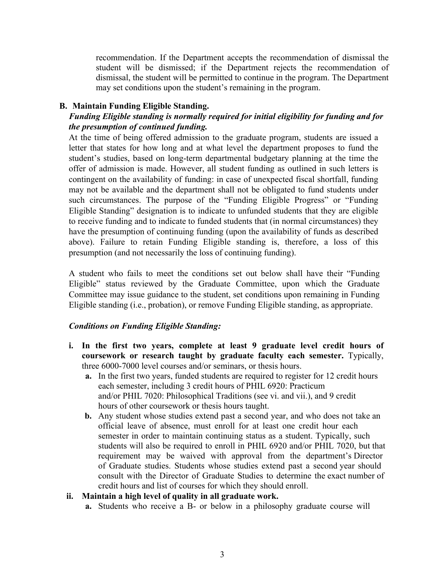recommendation. If the Department accepts the recommendation of dismissal the student will be dismissed; if the Department rejects the recommendation of dismissal, the student will be permitted to continue in the program. The Department may set conditions upon the student's remaining in the program.

#### **B. Maintain Funding Eligible Standing.**

## *Funding Eligible standing is normally required for initial eligibility for funding and for the presumption of continued funding.*

At the time of being offered admission to the graduate program, students are issued a letter that states for how long and at what level the department proposes to fund the student's studies, based on long-term departmental budgetary planning at the time the offer of admission is made. However, all student funding as outlined in such letters is contingent on the availability of funding: in case of unexpected fiscal shortfall, funding may not be available and the department shall not be obligated to fund students under such circumstances. The purpose of the "Funding Eligible Progress" or "Funding Eligible Standing" designation is to indicate to unfunded students that they are eligible to receive funding and to indicate to funded students that (in normal circumstances) they have the presumption of continuing funding (upon the availability of funds as described above). Failure to retain Funding Eligible standing is, therefore, a loss of this presumption (and not necessarily the loss of continuing funding).

A student who fails to meet the conditions set out below shall have their "Funding Eligible" status reviewed by the Graduate Committee, upon which the Graduate Committee may issue guidance to the student, set conditions upon remaining in Funding Eligible standing (i.e., probation), or remove Funding Eligible standing, as appropriate.

### *Conditions on Funding Eligible Standing:*

- **i. In the first two years, complete at least 9 graduate level credit hours of coursework or research taught by graduate faculty each semester.** Typically, three 6000-7000 level courses and/or seminars, or thesis hours.
	- **a.** In the first two years, funded students are required to register for 12 credit hours each semester, including 3 credit hours of PHIL 6920: Practicum and/or PHIL 7020: Philosophical Traditions (see vi. and vii.), and 9 credit hours of other coursework or thesis hours taught.
	- **b.** Any student whose studies extend past a second year, and who does not take an official leave of absence, must enroll for at least one credit hour each semester in order to maintain continuing status as a student. Typically, such students will also be required to enroll in PHIL 6920 and/or PHIL 7020, but that requirement may be waived with approval from the department's Director of Graduate studies. Students whose studies extend past a second year should consult with the Director of Graduate Studies to determine the exact number of credit hours and list of courses for which they should enroll.

#### **ii. Maintain a high level of quality in all graduate work.**

**a.** Students who receive a B- or below in a philosophy graduate course will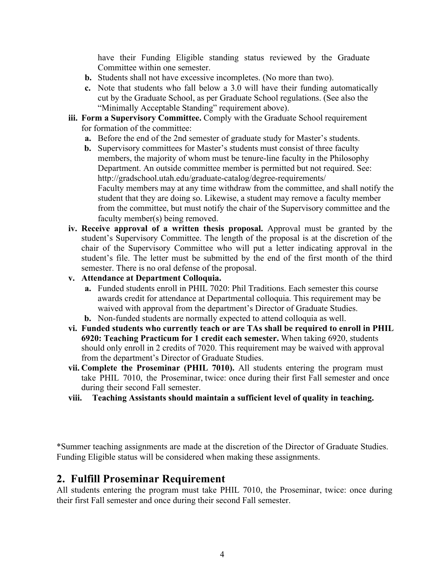have their Funding Eligible standing status reviewed by the Graduate Committee within one semester.

- **b.** Students shall not have excessive incompletes. (No more than two).
- **c.** Note that students who fall below a 3.0 will have their funding automatically cut by the Graduate School, as per Graduate School regulations. (See also the "Minimally Acceptable Standing" requirement above).
- **iii. Form a Supervisory Committee.** Comply with the Graduate School requirement for formation of the committee:
	- **a.** Before the end of the 2nd semester of graduate study for Master's students.
	- **b.** Supervisory committees for Master's students must consist of three faculty members, the majority of whom must be tenure-line faculty in the Philosophy Department. An outside committee member is permitted but not required. See: http://gradschool.utah.edu/graduate-catalog/degree-requirements/ Faculty members may at any time withdraw from the committee, and shall notify the student that they are doing so. Likewise, a student may remove a faculty member from the committee, but must notify the chair of the Supervisory committee and the faculty member(s) being removed.
- **iv. Receive approval of a written thesis proposal.** Approval must be granted by the student's Supervisory Committee. The length of the proposal is at the discretion of the chair of the Supervisory Committee who will put a letter indicating approval in the student's file. The letter must be submitted by the end of the first month of the third semester. There is no oral defense of the proposal.
- **v. Attendance at Department Colloquia.**
	- **a.** Funded students enroll in PHIL 7020: Phil Traditions. Each semester this course awards credit for attendance at Departmental colloquia. This requirement may be waived with approval from the department's Director of Graduate Studies.
	- **b.** Non-funded students are normally expected to attend colloquia as well.
- **vi. Funded students who currently teach or are TAs shall be required to enroll in PHIL 6920: Teaching Practicum for 1 credit each semester.** When taking 6920, students should only enroll in 2 credits of 7020. This requirement may be waived with approval from the department's Director of Graduate Studies.
- **vii. Complete the Proseminar (PHIL 7010).** All students entering the program must take PHIL 7010, the Proseminar, twice: once during their first Fall semester and once during their second Fall semester.
- **viii. Teaching Assistants should maintain a sufficient level of quality in teaching.**

\*Summer teaching assignments are made at the discretion of the Director of Graduate Studies. Funding Eligible status will be considered when making these assignments.

## **2. Fulfill Proseminar Requirement**

All students entering the program must take PHIL 7010, the Proseminar, twice: once during their first Fall semester and once during their second Fall semester.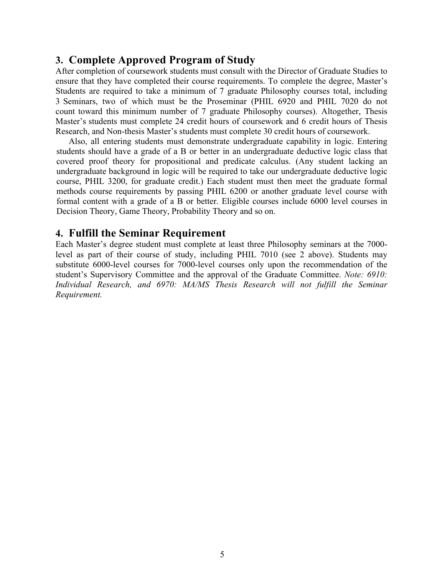## **3. Complete Approved Program of Study**

After completion of coursework students must consult with the Director of Graduate Studies to ensure that they have completed their course requirements. To complete the degree, Master's Students are required to take a minimum of 7 graduate Philosophy courses total, including 3 Seminars, two of which must be the Proseminar (PHIL 6920 and PHIL 7020 do not count toward this minimum number of 7 graduate Philosophy courses). Altogether, Thesis Master's students must complete 24 credit hours of coursework and 6 credit hours of Thesis Research, and Non-thesis Master's students must complete 30 credit hours of coursework.

Also, all entering students must demonstrate undergraduate capability in logic. Entering students should have a grade of a B or better in an undergraduate deductive logic class that covered proof theory for propositional and predicate calculus. (Any student lacking an undergraduate background in logic will be required to take our undergraduate deductive logic course, PHIL 3200, for graduate credit.) Each student must then meet the graduate formal methods course requirements by passing PHIL 6200 or another graduate level course with formal content with a grade of a B or better. Eligible courses include 6000 level courses in Decision Theory, Game Theory, Probability Theory and so on.

## **4. Fulfill the Seminar Requirement**

Each Master's degree student must complete at least three Philosophy seminars at the 7000 level as part of their course of study, including PHIL 7010 (see 2 above). Students may substitute 6000-level courses for 7000-level courses only upon the recommendation of the student's Supervisory Committee and the approval of the Graduate Committee. *Note: 6910: Individual Research, and 6970: MA/MS Thesis Research will not fulfill the Seminar Requirement.*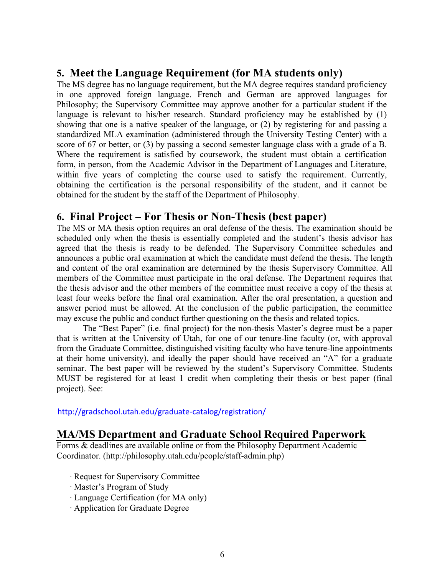# **5. Meet the Language Requirement (for MA students only)**

The MS degree has no language requirement, but the MA degree requires standard proficiency in one approved foreign language. French and German are approved languages for Philosophy; the Supervisory Committee may approve another for a particular student if the language is relevant to his/her research. Standard proficiency may be established by (1) showing that one is a native speaker of the language, or (2) by registering for and passing a standardized MLA examination (administered through the University Testing Center) with a score of 67 or better, or (3) by passing a second semester language class with a grade of a B. Where the requirement is satisfied by coursework, the student must obtain a certification form, in person, from the Academic Advisor in the Department of Languages and Literature, within five years of completing the course used to satisfy the requirement. Currently, obtaining the certification is the personal responsibility of the student, and it cannot be obtained for the student by the staff of the Department of Philosophy.

# **6. Final Project – For Thesis or Non-Thesis (best paper)**

The MS or MA thesis option requires an oral defense of the thesis. The examination should be scheduled only when the thesis is essentially completed and the student's thesis advisor has agreed that the thesis is ready to be defended. The Supervisory Committee schedules and announces a public oral examination at which the candidate must defend the thesis. The length and content of the oral examination are determined by the thesis Supervisory Committee. All members of the Committee must participate in the oral defense. The Department requires that the thesis advisor and the other members of the committee must receive a copy of the thesis at least four weeks before the final oral examination. After the oral presentation, a question and answer period must be allowed. At the conclusion of the public participation, the committee may excuse the public and conduct further questioning on the thesis and related topics.

The "Best Paper" (i.e. final project) for the non-thesis Master's degree must be a paper that is written at the University of Utah, for one of our tenure-line faculty (or, with approval from the Graduate Committee, distinguished visiting faculty who have tenure-line appointments at their home university), and ideally the paper should have received an "A" for a graduate seminar. The best paper will be reviewed by the student's Supervisory Committee. Students MUST be registered for at least 1 credit when completing their thesis or best paper (final project). See:

http://gradschool.utah.edu/graduate-catalog/registration/

## **MA/MS Department and Graduate School Required Paperwork**

Forms & deadlines are available online or from the Philosophy Department Academic Coordinator. (http://philosophy.utah.edu/people/staff-admin.php)

- · Request for Supervisory Committee
- · Master's Program of Study
- · Language Certification (for MA only)
- · Application for Graduate Degree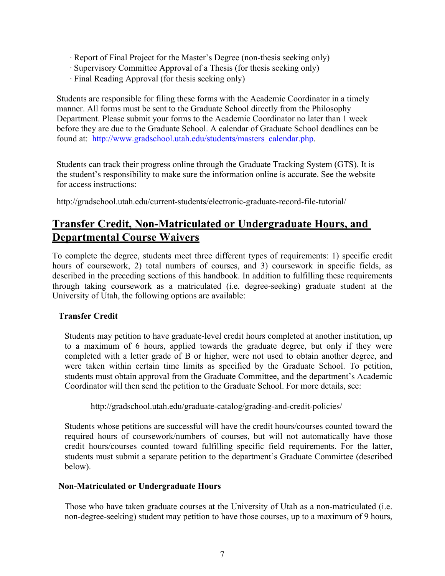- · Report of Final Project for the Master's Degree (non-thesis seeking only)
- · Supervisory Committee Approval of a Thesis (for thesis seeking only)
- · Final Reading Approval (for thesis seeking only)

Students are responsible for filing these forms with the Academic Coordinator in a timely manner. All forms must be sent to the Graduate School directly from the Philosophy Department. Please submit your forms to the Academic Coordinator no later than 1 week before they are due to the Graduate School. A calendar of Graduate School deadlines can be found at: http://www.gradschool.utah.edu/students/masters\_calendar.php.

Students can track their progress online through the Graduate Tracking System (GTS). It is the student's responsibility to make sure the information online is accurate. See the website for access instructions:

http://gradschool.utah.edu/current-students/electronic-graduate-record-file-tutorial/

# **Transfer Credit, Non-Matriculated or Undergraduate Hours, and Departmental Course Waivers**

To complete the degree, students meet three different types of requirements: 1) specific credit hours of coursework, 2) total numbers of courses, and 3) coursework in specific fields, as described in the preceding sections of this handbook. In addition to fulfilling these requirements through taking coursework as a matriculated (i.e. degree-seeking) graduate student at the University of Utah, the following options are available:

### **Transfer Credit**

Students may petition to have graduate-level credit hours completed at another institution, up to a maximum of 6 hours, applied towards the graduate degree, but only if they were completed with a letter grade of B or higher, were not used to obtain another degree, and were taken within certain time limits as specified by the Graduate School. To petition, students must obtain approval from the Graduate Committee, and the department's Academic Coordinator will then send the petition to the Graduate School. For more details, see:

http://gradschool.utah.edu/graduate-catalog/grading-and-credit-policies/

Students whose petitions are successful will have the credit hours/courses counted toward the required hours of coursework/numbers of courses, but will not automatically have those credit hours/courses counted toward fulfilling specific field requirements. For the latter, students must submit a separate petition to the department's Graduate Committee (described below).

#### **Non-Matriculated or Undergraduate Hours**

Those who have taken graduate courses at the University of Utah as a non-matriculated (i.e. non-degree-seeking) student may petition to have those courses, up to a maximum of 9 hours,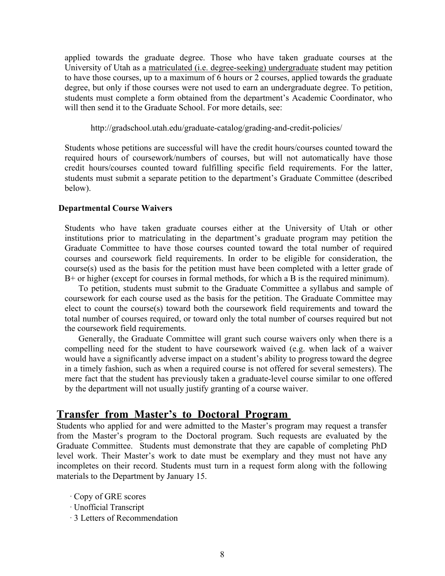applied towards the graduate degree. Those who have taken graduate courses at the University of Utah as a matriculated (i.e. degree-seeking) undergraduate student may petition to have those courses, up to a maximum of 6 hours or 2 courses, applied towards the graduate degree, but only if those courses were not used to earn an undergraduate degree. To petition, students must complete a form obtained from the department's Academic Coordinator, who will then send it to the Graduate School. For more details, see:

http://gradschool.utah.edu/graduate-catalog/grading-and-credit-policies/

Students whose petitions are successful will have the credit hours/courses counted toward the required hours of coursework/numbers of courses, but will not automatically have those credit hours/courses counted toward fulfilling specific field requirements. For the latter, students must submit a separate petition to the department's Graduate Committee (described below).

#### **Departmental Course Waivers**

Students who have taken graduate courses either at the University of Utah or other institutions prior to matriculating in the department's graduate program may petition the Graduate Committee to have those courses counted toward the total number of required courses and coursework field requirements. In order to be eligible for consideration, the course(s) used as the basis for the petition must have been completed with a letter grade of B+ or higher (except for courses in formal methods, for which a B is the required minimum).

To petition, students must submit to the Graduate Committee a syllabus and sample of coursework for each course used as the basis for the petition. The Graduate Committee may elect to count the course(s) toward both the coursework field requirements and toward the total number of courses required, or toward only the total number of courses required but not the coursework field requirements.

Generally, the Graduate Committee will grant such course waivers only when there is a compelling need for the student to have coursework waived (e.g. when lack of a waiver would have a significantly adverse impact on a student's ability to progress toward the degree in a timely fashion, such as when a required course is not offered for several semesters). The mere fact that the student has previously taken a graduate-level course similar to one offered by the department will not usually justify granting of a course waiver.

#### **Transfer from Master's to Doctoral Program**

Students who applied for and were admitted to the Master's program may request a transfer from the Master's program to the Doctoral program. Such requests are evaluated by the Graduate Committee. Students must demonstrate that they are capable of completing PhD level work. Their Master's work to date must be exemplary and they must not have any incompletes on their record. Students must turn in a request form along with the following materials to the Department by January 15.

- · Copy of GRE scores
- · Unofficial Transcript
- · 3 Letters of Recommendation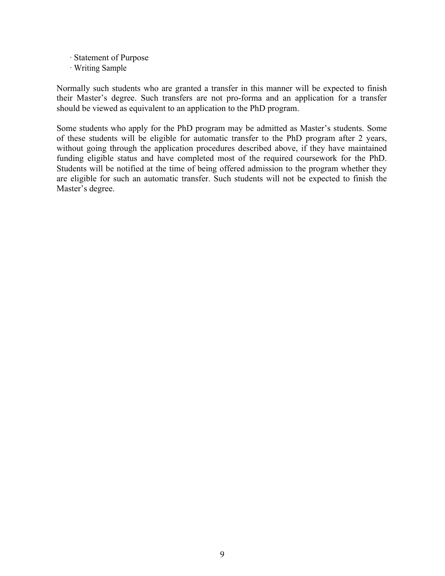- · Statement of Purpose
- · Writing Sample

Normally such students who are granted a transfer in this manner will be expected to finish their Master's degree. Such transfers are not pro-forma and an application for a transfer should be viewed as equivalent to an application to the PhD program.

Some students who apply for the PhD program may be admitted as Master's students. Some of these students will be eligible for automatic transfer to the PhD program after 2 years, without going through the application procedures described above, if they have maintained funding eligible status and have completed most of the required coursework for the PhD. Students will be notified at the time of being offered admission to the program whether they are eligible for such an automatic transfer. Such students will not be expected to finish the Master's degree.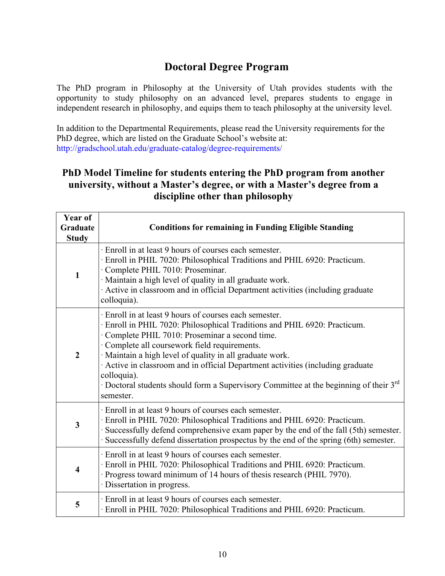# **Doctoral Degree Program**

The PhD program in Philosophy at the University of Utah provides students with the opportunity to study philosophy on an advanced level, prepares students to engage in independent research in philosophy, and equips them to teach philosophy at the university level.

In addition to the Departmental Requirements, please read the University requirements for the PhD degree, which are listed on the Graduate School's website at: http://gradschool.utah.edu/graduate-catalog/degree-requirements/

## **PhD Model Timeline for students entering the PhD program from another university, without a Master's degree, or with a Master's degree from a discipline other than philosophy**

| Year of                 |                                                                                                                                                                                                                                                                                                                                                                                                                                                                                                                     |  |  |  |
|-------------------------|---------------------------------------------------------------------------------------------------------------------------------------------------------------------------------------------------------------------------------------------------------------------------------------------------------------------------------------------------------------------------------------------------------------------------------------------------------------------------------------------------------------------|--|--|--|
| Graduate                | <b>Conditions for remaining in Funding Eligible Standing</b>                                                                                                                                                                                                                                                                                                                                                                                                                                                        |  |  |  |
| <b>Study</b>            |                                                                                                                                                                                                                                                                                                                                                                                                                                                                                                                     |  |  |  |
| $\mathbf{1}$            | · Enroll in at least 9 hours of courses each semester.<br>Enroll in PHIL 7020: Philosophical Traditions and PHIL 6920: Practicum.<br>Complete PHIL 7010: Proseminar.<br>· Maintain a high level of quality in all graduate work.<br>Active in classroom and in official Department activities (including graduate<br>colloquia).                                                                                                                                                                                    |  |  |  |
| $\overline{2}$          | · Enroll in at least 9 hours of courses each semester.<br>· Enroll in PHIL 7020: Philosophical Traditions and PHIL 6920: Practicum.<br>· Complete PHIL 7010: Proseminar a second time.<br>Complete all coursework field requirements.<br>· Maintain a high level of quality in all graduate work.<br>Active in classroom and in official Department activities (including graduate<br>colloquia).<br>· Doctoral students should form a Supervisory Committee at the beginning of their 3 <sup>rd</sup><br>semester. |  |  |  |
| 3                       | · Enroll in at least 9 hours of courses each semester.<br>· Enroll in PHIL 7020: Philosophical Traditions and PHIL 6920: Practicum.<br>Successfully defend comprehensive exam paper by the end of the fall (5th) semester.<br>Successfully defend dissertation prospectus by the end of the spring (6th) semester.                                                                                                                                                                                                  |  |  |  |
| $\overline{\mathbf{4}}$ | Enroll in at least 9 hours of courses each semester.<br>· Enroll in PHIL 7020: Philosophical Traditions and PHIL 6920: Practicum.<br>Progress toward minimum of 14 hours of thesis research (PHIL 7970).<br>· Dissertation in progress.                                                                                                                                                                                                                                                                             |  |  |  |
| 5                       | Enroll in at least 9 hours of courses each semester.<br>· Enroll in PHIL 7020: Philosophical Traditions and PHIL 6920: Practicum.                                                                                                                                                                                                                                                                                                                                                                                   |  |  |  |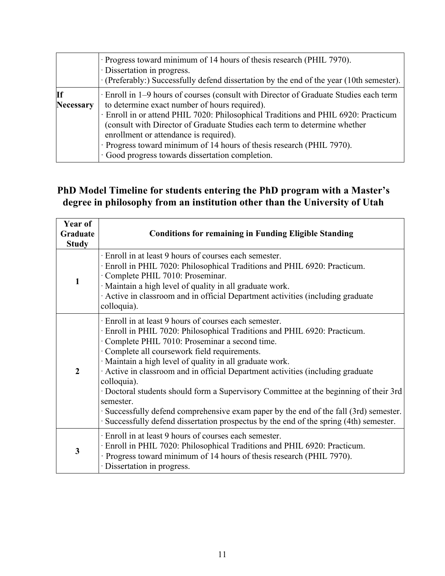|                 | · Progress toward minimum of 14 hours of thesis research (PHIL 7970).<br>· Dissertation in progress.<br>(Preferably:) Successfully defend dissertation by the end of the year (10th semester).                                                                                                                                                                                                                                                                                 |  |  |
|-----------------|--------------------------------------------------------------------------------------------------------------------------------------------------------------------------------------------------------------------------------------------------------------------------------------------------------------------------------------------------------------------------------------------------------------------------------------------------------------------------------|--|--|
| If<br>Necessary | Enroll in 1–9 hours of courses (consult with Director of Graduate Studies each term<br>to determine exact number of hours required).<br>· Enroll in or attend PHIL 7020: Philosophical Traditions and PHIL 6920: Practicum<br>(consult with Director of Graduate Studies each term to determine whether<br>enrollment or attendance is required).<br>· Progress toward minimum of 14 hours of thesis research (PHIL 7970).<br>· Good progress towards dissertation completion. |  |  |

# **PhD Model Timeline for students entering the PhD program with a Master's degree in philosophy from an institution other than the University of Utah**

| Year of        |                                                                                                                                                                                                                                                                                                                                                                                                                                                                                                                                                                                                                                                                                      |  |  |  |  |
|----------------|--------------------------------------------------------------------------------------------------------------------------------------------------------------------------------------------------------------------------------------------------------------------------------------------------------------------------------------------------------------------------------------------------------------------------------------------------------------------------------------------------------------------------------------------------------------------------------------------------------------------------------------------------------------------------------------|--|--|--|--|
| Graduate       | <b>Conditions for remaining in Funding Eligible Standing</b>                                                                                                                                                                                                                                                                                                                                                                                                                                                                                                                                                                                                                         |  |  |  |  |
| <b>Study</b>   |                                                                                                                                                                                                                                                                                                                                                                                                                                                                                                                                                                                                                                                                                      |  |  |  |  |
| $\mathbf{1}$   | · Enroll in at least 9 hours of courses each semester.<br>· Enroll in PHIL 7020: Philosophical Traditions and PHIL 6920: Practicum.<br>· Complete PHIL 7010: Proseminar.<br>· Maintain a high level of quality in all graduate work.<br>Active in classroom and in official Department activities (including graduate<br>colloquia).                                                                                                                                                                                                                                                                                                                                                 |  |  |  |  |
| $\overline{2}$ | Enroll in at least 9 hours of courses each semester.<br>Enroll in PHIL 7020: Philosophical Traditions and PHIL 6920: Practicum.<br>Complete PHIL 7010: Proseminar a second time.<br>Complete all coursework field requirements.<br>· Maintain a high level of quality in all graduate work.<br>Active in classroom and in official Department activities (including graduate<br>colloquia).<br>· Doctoral students should form a Supervisory Committee at the beginning of their 3rd<br>semester.<br>· Successfully defend comprehensive exam paper by the end of the fall (3rd) semester.<br>· Successfully defend dissertation prospectus by the end of the spring (4th) semester. |  |  |  |  |
| 3              | · Enroll in at least 9 hours of courses each semester.<br>Enroll in PHIL 7020: Philosophical Traditions and PHIL 6920: Practicum.<br>· Progress toward minimum of 14 hours of thesis research (PHIL 7970).<br>· Dissertation in progress.                                                                                                                                                                                                                                                                                                                                                                                                                                            |  |  |  |  |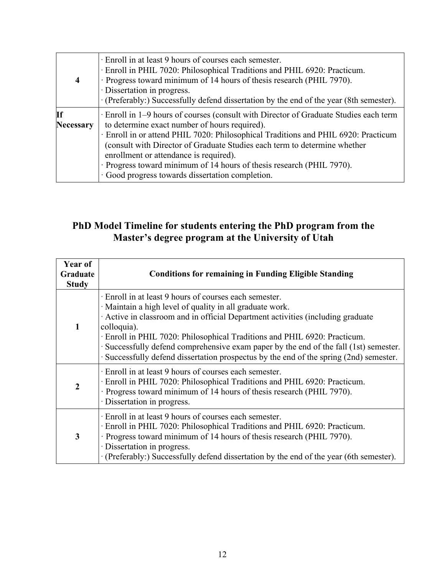| $\overline{\mathbf{4}}$ | Enroll in at least 9 hours of courses each semester.<br>· Enroll in PHIL 7020: Philosophical Traditions and PHIL 6920: Practicum.<br>· Progress toward minimum of 14 hours of thesis research (PHIL 7970).<br>· Dissertation in progress.<br>· (Preferably:) Successfully defend dissertation by the end of the year (8th semester).                                                                                                                                           |
|-------------------------|--------------------------------------------------------------------------------------------------------------------------------------------------------------------------------------------------------------------------------------------------------------------------------------------------------------------------------------------------------------------------------------------------------------------------------------------------------------------------------|
| If<br><b>Necessary</b>  | Enroll in 1–9 hours of courses (consult with Director of Graduate Studies each term<br>to determine exact number of hours required).<br>· Enroll in or attend PHIL 7020: Philosophical Traditions and PHIL 6920: Practicum<br>(consult with Director of Graduate Studies each term to determine whether<br>enrollment or attendance is required).<br>· Progress toward minimum of 14 hours of thesis research (PHIL 7970).<br>· Good progress towards dissertation completion. |

# **PhD Model Timeline for students entering the PhD program from the Master's degree program at the University of Utah**

| Year of<br>Graduate<br><b>Study</b> | <b>Conditions for remaining in Funding Eligible Standing</b>                                                                                                                                                                                                                                                                                                                                                                                                                   |
|-------------------------------------|--------------------------------------------------------------------------------------------------------------------------------------------------------------------------------------------------------------------------------------------------------------------------------------------------------------------------------------------------------------------------------------------------------------------------------------------------------------------------------|
| $\mathbf{1}$                        | Enroll in at least 9 hours of courses each semester.<br>· Maintain a high level of quality in all graduate work.<br>Active in classroom and in official Department activities (including graduate<br>colloquia).<br>Enroll in PHIL 7020: Philosophical Traditions and PHIL 6920: Practicum.<br>· Successfully defend comprehensive exam paper by the end of the fall (1st) semester.<br>· Successfully defend dissertation prospectus by the end of the spring (2nd) semester. |
| $\overline{2}$                      | Enroll in at least 9 hours of courses each semester.<br>Enroll in PHIL 7020: Philosophical Traditions and PHIL 6920: Practicum.<br>· Progress toward minimum of 14 hours of thesis research (PHIL 7970).<br>· Dissertation in progress.                                                                                                                                                                                                                                        |
| 3                                   | Enroll in at least 9 hours of courses each semester.<br>· Enroll in PHIL 7020: Philosophical Traditions and PHIL 6920: Practicum.<br>· Progress toward minimum of 14 hours of thesis research (PHIL 7970).<br>· Dissertation in progress.<br>· (Preferably:) Successfully defend dissertation by the end of the year (6th semester).                                                                                                                                           |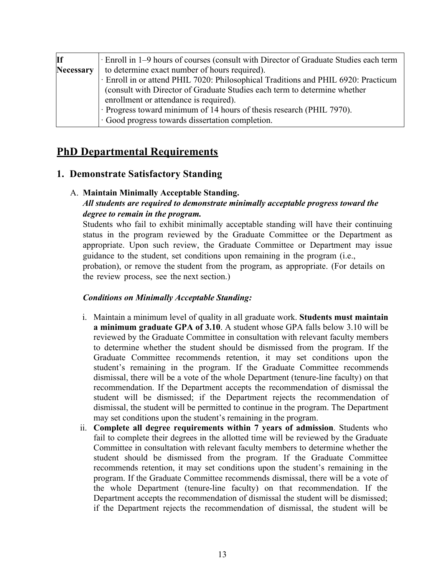| <b>If</b>        | Enroll in 1–9 hours of courses (consult with Director of Graduate Studies each term |  |  |  |
|------------------|-------------------------------------------------------------------------------------|--|--|--|
| <b>Necessary</b> | to determine exact number of hours required).                                       |  |  |  |
|                  | · Enroll in or attend PHIL 7020: Philosophical Traditions and PHIL 6920: Practicum  |  |  |  |
|                  | (consult with Director of Graduate Studies each term to determine whether           |  |  |  |
|                  | enrollment or attendance is required).                                              |  |  |  |
|                  | · Progress toward minimum of 14 hours of thesis research (PHIL 7970).               |  |  |  |
|                  | Good progress towards dissertation completion.                                      |  |  |  |

# **PhD Departmental Requirements**

## **1. Demonstrate Satisfactory Standing**

### A. **Maintain Minimally Acceptable Standing.**

## *All students are required to demonstrate minimally acceptable progress toward the degree to remain in the program.*

Students who fail to exhibit minimally acceptable standing will have their continuing status in the program reviewed by the Graduate Committee or the Department as appropriate. Upon such review, the Graduate Committee or Department may issue guidance to the student, set conditions upon remaining in the program (i.e., probation), or remove the student from the program, as appropriate. (For details on the review process, see the next section.)

## *Conditions on Minimally Acceptable Standing:*

- i. Maintain a minimum level of quality in all graduate work. **Students must maintain a minimum graduate GPA of 3.10**. A student whose GPA falls below 3.10 will be reviewed by the Graduate Committee in consultation with relevant faculty members to determine whether the student should be dismissed from the program. If the Graduate Committee recommends retention, it may set conditions upon the student's remaining in the program. If the Graduate Committee recommends dismissal, there will be a vote of the whole Department (tenure-line faculty) on that recommendation. If the Department accepts the recommendation of dismissal the student will be dismissed; if the Department rejects the recommendation of dismissal, the student will be permitted to continue in the program. The Department may set conditions upon the student's remaining in the program.
- ii. **Complete all degree requirements within 7 years of admission**. Students who fail to complete their degrees in the allotted time will be reviewed by the Graduate Committee in consultation with relevant faculty members to determine whether the student should be dismissed from the program. If the Graduate Committee recommends retention, it may set conditions upon the student's remaining in the program. If the Graduate Committee recommends dismissal, there will be a vote of the whole Department (tenure-line faculty) on that recommendation. If the Department accepts the recommendation of dismissal the student will be dismissed; if the Department rejects the recommendation of dismissal, the student will be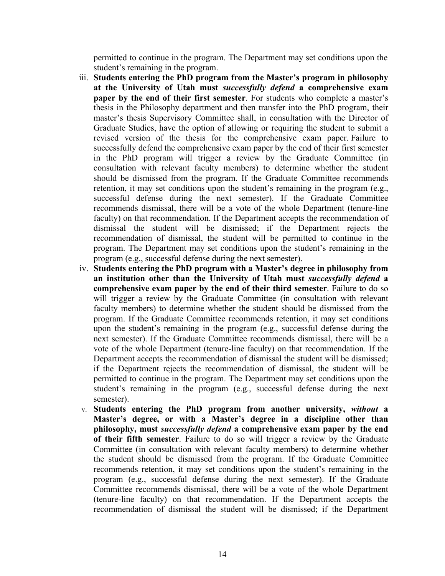permitted to continue in the program. The Department may set conditions upon the student's remaining in the program.

- iii. **Students entering the PhD program from the Master's program in philosophy at the University of Utah must** *successfully defend* **a comprehensive exam paper by the end of their first semester**. For students who complete a master's thesis in the Philosophy department and then transfer into the PhD program, their master's thesis Supervisory Committee shall, in consultation with the Director of Graduate Studies, have the option of allowing or requiring the student to submit a revised version of the thesis for the comprehensive exam paper. Failure to successfully defend the comprehensive exam paper by the end of their first semester in the PhD program will trigger a review by the Graduate Committee (in consultation with relevant faculty members) to determine whether the student should be dismissed from the program. If the Graduate Committee recommends retention, it may set conditions upon the student's remaining in the program (e.g., successful defense during the next semester). If the Graduate Committee recommends dismissal, there will be a vote of the whole Department (tenure-line faculty) on that recommendation. If the Department accepts the recommendation of dismissal the student will be dismissed; if the Department rejects the recommendation of dismissal, the student will be permitted to continue in the program. The Department may set conditions upon the student's remaining in the program (e.g., successful defense during the next semester).
- iv. **Students entering the PhD program with a Master's degree in philosophy from an institution other than the University of Utah must** *successfully defend* **a comprehensive exam paper by the end of their third semester**. Failure to do so will trigger a review by the Graduate Committee (in consultation with relevant faculty members) to determine whether the student should be dismissed from the program. If the Graduate Committee recommends retention, it may set conditions upon the student's remaining in the program (e.g., successful defense during the next semester). If the Graduate Committee recommends dismissal, there will be a vote of the whole Department (tenure-line faculty) on that recommendation. If the Department accepts the recommendation of dismissal the student will be dismissed; if the Department rejects the recommendation of dismissal, the student will be permitted to continue in the program. The Department may set conditions upon the student's remaining in the program (e.g., successful defense during the next semester).
- v. **Students entering the PhD program from another university,** *without* **a Master's degree, or with a Master's degree in a discipline other than philosophy, must** *successfully defend* **a comprehensive exam paper by the end of their fifth semester**. Failure to do so will trigger a review by the Graduate Committee (in consultation with relevant faculty members) to determine whether the student should be dismissed from the program. If the Graduate Committee recommends retention, it may set conditions upon the student's remaining in the program (e.g., successful defense during the next semester). If the Graduate Committee recommends dismissal, there will be a vote of the whole Department (tenure-line faculty) on that recommendation. If the Department accepts the recommendation of dismissal the student will be dismissed; if the Department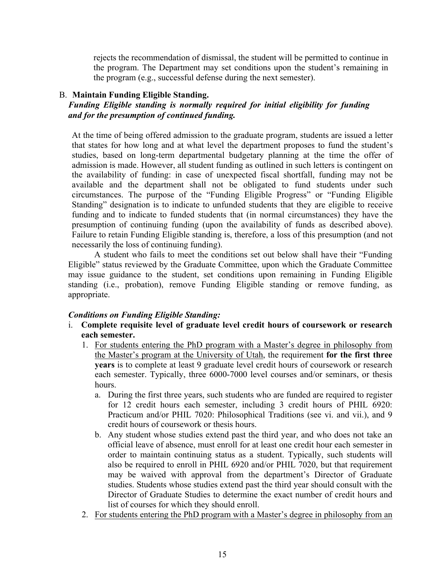rejects the recommendation of dismissal, the student will be permitted to continue in the program. The Department may set conditions upon the student's remaining in the program (e.g., successful defense during the next semester).

#### B. **Maintain Funding Eligible Standing.**

#### *Funding Eligible standing is normally required for initial eligibility for funding and for the presumption of continued funding.*

At the time of being offered admission to the graduate program, students are issued a letter that states for how long and at what level the department proposes to fund the student's studies, based on long-term departmental budgetary planning at the time the offer of admission is made. However, all student funding as outlined in such letters is contingent on the availability of funding: in case of unexpected fiscal shortfall, funding may not be available and the department shall not be obligated to fund students under such circumstances. The purpose of the "Funding Eligible Progress" or "Funding Eligible Standing" designation is to indicate to unfunded students that they are eligible to receive funding and to indicate to funded students that (in normal circumstances) they have the presumption of continuing funding (upon the availability of funds as described above). Failure to retain Funding Eligible standing is, therefore, a loss of this presumption (and not necessarily the loss of continuing funding).

A student who fails to meet the conditions set out below shall have their "Funding Eligible" status reviewed by the Graduate Committee, upon which the Graduate Committee may issue guidance to the student, set conditions upon remaining in Funding Eligible standing (i.e., probation), remove Funding Eligible standing or remove funding, as appropriate.

#### *Conditions on Funding Eligible Standing:*

- i. **Complete requisite level of graduate level credit hours of coursework or research each semester.**
	- 1. For students entering the PhD program with a Master's degree in philosophy from the Master's program at the University of Utah, the requirement **for the first three years** is to complete at least 9 graduate level credit hours of coursework or research each semester. Typically, three 6000-7000 level courses and/or seminars, or thesis hours.
		- a. During the first three years, such students who are funded are required to register for 12 credit hours each semester, including 3 credit hours of PHIL 6920: Practicum and/or PHIL 7020: Philosophical Traditions (see vi. and vii.), and 9 credit hours of coursework or thesis hours.
		- b. Any student whose studies extend past the third year, and who does not take an official leave of absence, must enroll for at least one credit hour each semester in order to maintain continuing status as a student. Typically, such students will also be required to enroll in PHIL 6920 and/or PHIL 7020, but that requirement may be waived with approval from the department's Director of Graduate studies. Students whose studies extend past the third year should consult with the Director of Graduate Studies to determine the exact number of credit hours and list of courses for which they should enroll.
	- 2. For students entering the PhD program with a Master's degree in philosophy from an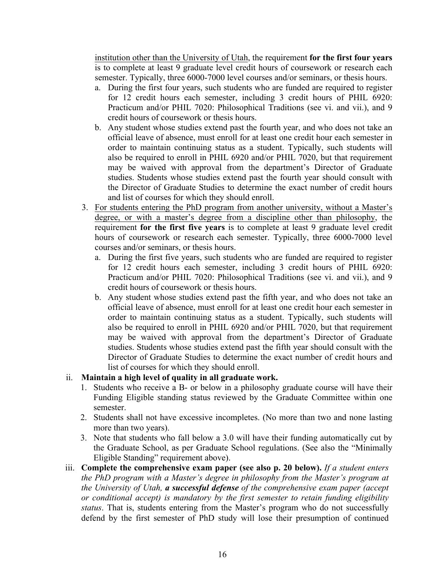institution other than the University of Utah, the requirement **for the first four years** is to complete at least 9 graduate level credit hours of coursework or research each semester. Typically, three 6000-7000 level courses and/or seminars, or thesis hours.

- a. During the first four years, such students who are funded are required to register for 12 credit hours each semester, including 3 credit hours of PHIL 6920: Practicum and/or PHIL 7020: Philosophical Traditions (see vi. and vii.), and 9 credit hours of coursework or thesis hours.
- b. Any student whose studies extend past the fourth year, and who does not take an official leave of absence, must enroll for at least one credit hour each semester in order to maintain continuing status as a student. Typically, such students will also be required to enroll in PHIL 6920 and/or PHIL 7020, but that requirement may be waived with approval from the department's Director of Graduate studies. Students whose studies extend past the fourth year should consult with the Director of Graduate Studies to determine the exact number of credit hours and list of courses for which they should enroll.
- 3. For students entering the PhD program from another university, without a Master's degree, or with a master's degree from a discipline other than philosophy, the requirement **for the first five years** is to complete at least 9 graduate level credit hours of coursework or research each semester. Typically, three 6000-7000 level courses and/or seminars, or thesis hours.
	- a. During the first five years, such students who are funded are required to register for 12 credit hours each semester, including 3 credit hours of PHIL 6920: Practicum and/or PHIL 7020: Philosophical Traditions (see vi. and vii.), and 9 credit hours of coursework or thesis hours.
	- b. Any student whose studies extend past the fifth year, and who does not take an official leave of absence, must enroll for at least one credit hour each semester in order to maintain continuing status as a student. Typically, such students will also be required to enroll in PHIL 6920 and/or PHIL 7020, but that requirement may be waived with approval from the department's Director of Graduate studies. Students whose studies extend past the fifth year should consult with the Director of Graduate Studies to determine the exact number of credit hours and list of courses for which they should enroll.

#### ii. **Maintain a high level of quality in all graduate work.**

- 1. Students who receive a B- or below in a philosophy graduate course will have their Funding Eligible standing status reviewed by the Graduate Committee within one semester.
- 2. Students shall not have excessive incompletes. (No more than two and none lasting more than two years).
- 3. Note that students who fall below a 3.0 will have their funding automatically cut by the Graduate School, as per Graduate School regulations. (See also the "Minimally Eligible Standing" requirement above).
- iii. **Complete the comprehensive exam paper (see also p. 20 below).** *If a student enters the PhD program with a Master's degree in philosophy from the Master's program at the University of Utah, a successful defense of the comprehensive exam paper (accept or conditional accept) is mandatory by the first semester to retain funding eligibility status*. That is, students entering from the Master's program who do not successfully defend by the first semester of PhD study will lose their presumption of continued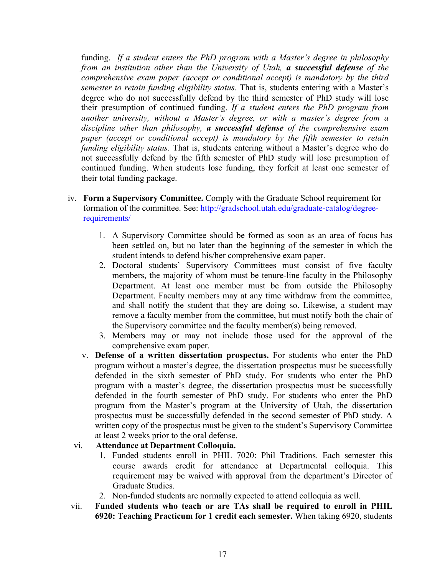funding. *If a student enters the PhD program with a Master's degree in philosophy from an institution other than the University of Utah, a successful defense of the comprehensive exam paper (accept or conditional accept) is mandatory by the third semester to retain funding eligibility status*. That is, students entering with a Master's degree who do not successfully defend by the third semester of PhD study will lose their presumption of continued funding. *If a student enters the PhD program from another university, without a Master's degree, or with a master's degree from a discipline other than philosophy, a successful defense of the comprehensive exam paper (accept or conditional accept) is mandatory by the fifth semester to retain funding eligibility status*. That is, students entering without a Master's degree who do not successfully defend by the fifth semester of PhD study will lose presumption of continued funding. When students lose funding, they forfeit at least one semester of their total funding package.

- iv. **Form a Supervisory Committee.** Comply with the Graduate School requirement for formation of the committee. See: http://gradschool.utah.edu/graduate-catalog/degreerequirements/
	- 1. A Supervisory Committee should be formed as soon as an area of focus has been settled on, but no later than the beginning of the semester in which the student intends to defend his/her comprehensive exam paper.
	- 2. Doctoral students' Supervisory Committees must consist of five faculty members, the majority of whom must be tenure-line faculty in the Philosophy Department. At least one member must be from outside the Philosophy Department. Faculty members may at any time withdraw from the committee, and shall notify the student that they are doing so. Likewise, a student may remove a faculty member from the committee, but must notify both the chair of the Supervisory committee and the faculty member(s) being removed.
	- 3. Members may or may not include those used for the approval of the comprehensive exam paper.
	- v. **Defense of a written dissertation prospectus.** For students who enter the PhD program without a master's degree, the dissertation prospectus must be successfully defended in the sixth semester of PhD study. For students who enter the PhD program with a master's degree, the dissertation prospectus must be successfully defended in the fourth semester of PhD study. For students who enter the PhD program from the Master's program at the University of Utah, the dissertation prospectus must be successfully defended in the second semester of PhD study. A written copy of the prospectus must be given to the student's Supervisory Committee at least 2 weeks prior to the oral defense.

#### vi. **Attendance at Department Colloquia.**

- 1. Funded students enroll in PHIL 7020: Phil Traditions. Each semester this course awards credit for attendance at Departmental colloquia. This requirement may be waived with approval from the department's Director of Graduate Studies.
- 2. Non-funded students are normally expected to attend colloquia as well.
- vii. **Funded students who teach or are TAs shall be required to enroll in PHIL 6920: Teaching Practicum for 1 credit each semester.** When taking 6920, students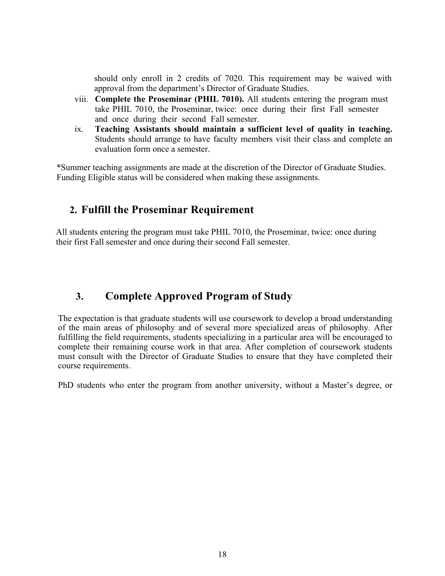should only enroll in 2 credits of 7020. This requirement may be waived with approval from the department's Director of Graduate Studies.

- viii. **Complete the Proseminar (PHIL 7010).** All students entering the program must take PHIL 7010, the Proseminar, twice: once during their first Fall semester and once during their second Fall semester.
- ix. **Teaching Assistants should maintain a sufficient level of quality in teaching.** Students should arrange to have faculty members visit their class and complete an evaluation form once a semester.

\*Summer teaching assignments are made at the discretion of the Director of Graduate Studies. Funding Eligible status will be considered when making these assignments.

# **2. Fulfill the Proseminar Requirement**

All students entering the program must take PHIL 7010, the Proseminar, twice: once during their first Fall semester and once during their second Fall semester.

# **3. Complete Approved Program of Study**

The expectation is that graduate students will use coursework to develop a broad understanding of the main areas of philosophy and of several more specialized areas of philosophy. After fulfilling the field requirements, students specializing in a particular area will be encouraged to complete their remaining course work in that area. After completion of coursework students must consult with the Director of Graduate Studies to ensure that they have completed their course requirements.

PhD students who enter the program from another university, without a Master's degree, or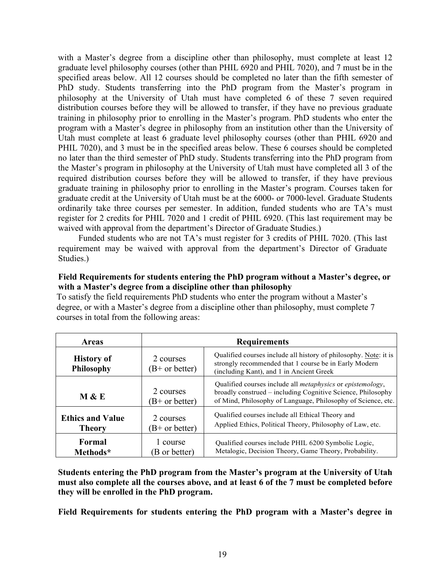with a Master's degree from a discipline other than philosophy, must complete at least 12 graduate level philosophy courses (other than PHIL 6920 and PHIL 7020), and 7 must be in the specified areas below. All 12 courses should be completed no later than the fifth semester of PhD study. Students transferring into the PhD program from the Master's program in philosophy at the University of Utah must have completed 6 of these 7 seven required distribution courses before they will be allowed to transfer, if they have no previous graduate training in philosophy prior to enrolling in the Master's program. PhD students who enter the program with a Master's degree in philosophy from an institution other than the University of Utah must complete at least 6 graduate level philosophy courses (other than PHIL 6920 and PHIL 7020), and 3 must be in the specified areas below. These 6 courses should be completed no later than the third semester of PhD study. Students transferring into the PhD program from the Master's program in philosophy at the University of Utah must have completed all 3 of the required distribution courses before they will be allowed to transfer, if they have previous graduate training in philosophy prior to enrolling in the Master's program. Courses taken for graduate credit at the University of Utah must be at the 6000- or 7000-level. Graduate Students ordinarily take three courses per semester. In addition, funded students who are TA's must register for 2 credits for PHIL 7020 and 1 credit of PHIL 6920. (This last requirement may be waived with approval from the department's Director of Graduate Studies.)

Funded students who are not TA's must register for 3 credits of PHIL 7020. (This last requirement may be waived with approval from the department's Director of Graduate Studies.)

#### **Field Requirements for students entering the PhD program without a Master's degree, or with a Master's degree from a discipline other than philosophy**

To satisfy the field requirements PhD students who enter the program without a Master's degree, or with a Master's degree from a discipline other than philosophy, must complete 7 courses in total from the following areas:

| <b>Areas</b>                             | <b>Requirements</b>           |                                                                                                                                                                                                          |
|------------------------------------------|-------------------------------|----------------------------------------------------------------------------------------------------------------------------------------------------------------------------------------------------------|
| <b>History of</b><br><b>Philosophy</b>   | 2 courses<br>$(B+ or better)$ | Qualified courses include all history of philosophy. Note: it is<br>strongly recommended that 1 course be in Early Modern<br>(including Kant), and 1 in Ancient Greek                                    |
| <b>M &amp; E</b>                         | 2 courses<br>$(B+ or better)$ | Qualified courses include all <i>metaphysics</i> or <i>epistemology</i> ,<br>broadly construed – including Cognitive Science, Philosophy<br>of Mind, Philosophy of Language, Philosophy of Science, etc. |
| <b>Ethics and Value</b><br><b>Theory</b> | 2 courses<br>$(B+ or better)$ | Qualified courses include all Ethical Theory and<br>Applied Ethics, Political Theory, Philosophy of Law, etc.                                                                                            |
| Formal<br>Methods*                       | 1 course<br>B or better)      | Qualified courses include PHIL 6200 Symbolic Logic,<br>Metalogic, Decision Theory, Game Theory, Probability.                                                                                             |

**Students entering the PhD program from the Master's program at the University of Utah must also complete all the courses above, and at least 6 of the 7 must be completed before they will be enrolled in the PhD program.** 

**Field Requirements for students entering the PhD program with a Master's degree in**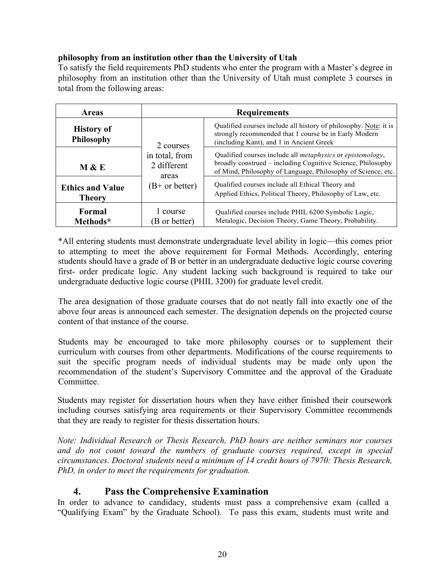### **philosophy from an institution other than the University of Utah**

To satisfy the field requirements PhD students who enter the program with a Master's degree in philosophy from an institution other than the University of Utah must complete 3 courses in total from the following areas:

| <b>Areas</b>                             | <b>Requirements</b>                                        |                                                                                                                                                                                                          |
|------------------------------------------|------------------------------------------------------------|----------------------------------------------------------------------------------------------------------------------------------------------------------------------------------------------------------|
| <b>History of</b><br><b>Philosophy</b>   | 2 courses                                                  | Qualified courses include all history of philosophy. Note: it is<br>strongly recommended that 1 course be in Early Modern<br>(including Kant), and 1 in Ancient Greek                                    |
| M & E                                    | in total, from<br>2 different<br>areas<br>$(B+ or better)$ | Qualified courses include all <i>metaphysics</i> or <i>epistemology</i> ,<br>broadly construed – including Cognitive Science, Philosophy<br>of Mind, Philosophy of Language, Philosophy of Science, etc. |
| <b>Ethics and Value</b><br><b>Theory</b> |                                                            | Qualified courses include all Ethical Theory and<br>Applied Ethics, Political Theory, Philosophy of Law, etc.                                                                                            |
| Formal<br>Methods*                       | 1 course<br>B or better)                                   | Qualified courses include PHIL 6200 Symbolic Logic,<br>Metalogic, Decision Theory, Game Theory, Probability.                                                                                             |

\*All entering students must demonstrate undergraduate level ability in logic—this comes prior to attempting to meet the above requirement for Formal Methods. Accordingly, entering students should have a grade of B or better in an undergraduate deductive logic course covering first- order predicate logic. Any student lacking such background is required to take our undergraduate deductive logic course (PHIL 3200) for graduate level credit.

The area designation of those graduate courses that do not neatly fall into exactly one of the above four areas is announced each semester. The designation depends on the projected course content of that instance of the course.

Students may be encouraged to take more philosophy courses or to supplement their curriculum with courses from other departments. Modifications of the course requirements to suit the specific program needs of individual students may be made only upon the recommendation of the student's Supervisory Committee and the approval of the Graduate **Committee** 

Students may register for dissertation hours when they have either finished their coursework including courses satisfying area requirements or their Supervisory Committee recommends that they are ready to register for thesis dissertation hours.

*Note: Individual Research or Thesis Research, PhD hours are neither seminars nor courses and do not count toward the numbers of graduate courses required, except in special circumstances. Doctoral students need a minimum of 14 credit hours of 7970: Thesis Research, PhD, in order to meet the requirements for graduation.*

## **4. Pass the Comprehensive Examination**

In order to advance to candidacy, students must pass a comprehensive exam (called a "Qualifying Exam" by the Graduate School). To pass this exam, students must write and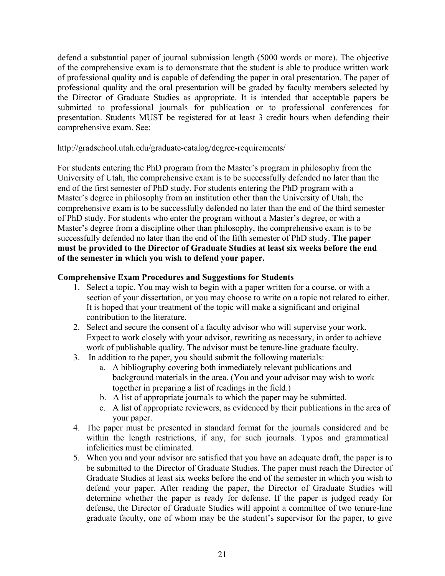defend a substantial paper of journal submission length (5000 words or more). The objective of the comprehensive exam is to demonstrate that the student is able to produce written work of professional quality and is capable of defending the paper in oral presentation. The paper of professional quality and the oral presentation will be graded by faculty members selected by the Director of Graduate Studies as appropriate. It is intended that acceptable papers be submitted to professional journals for publication or to professional conferences for presentation. Students MUST be registered for at least 3 credit hours when defending their comprehensive exam. See:

http://gradschool.utah.edu/graduate-catalog/degree-requirements/

For students entering the PhD program from the Master's program in philosophy from the University of Utah, the comprehensive exam is to be successfully defended no later than the end of the first semester of PhD study. For students entering the PhD program with a Master's degree in philosophy from an institution other than the University of Utah, the comprehensive exam is to be successfully defended no later than the end of the third semester of PhD study. For students who enter the program without a Master's degree, or with a Master's degree from a discipline other than philosophy, the comprehensive exam is to be successfully defended no later than the end of the fifth semester of PhD study. **The paper must be provided to the Director of Graduate Studies at least six weeks before the end of the semester in which you wish to defend your paper.**

#### **Comprehensive Exam Procedures and Suggestions for Students**

- 1. Select a topic. You may wish to begin with a paper written for a course, or with a section of your dissertation, or you may choose to write on a topic not related to either. It is hoped that your treatment of the topic will make a significant and original contribution to the literature.
- 2. Select and secure the consent of a faculty advisor who will supervise your work. Expect to work closely with your advisor, rewriting as necessary, in order to achieve work of publishable quality. The advisor must be tenure-line graduate faculty.
- 3. In addition to the paper, you should submit the following materials:
	- a. A bibliography covering both immediately relevant publications and background materials in the area. (You and your advisor may wish to work together in preparing a list of readings in the field.)
	- b. A list of appropriate journals to which the paper may be submitted.
	- c. A list of appropriate reviewers, as evidenced by their publications in the area of your paper.
- 4. The paper must be presented in standard format for the journals considered and be within the length restrictions, if any, for such journals. Typos and grammatical infelicities must be eliminated.
- 5. When you and your advisor are satisfied that you have an adequate draft, the paper is to be submitted to the Director of Graduate Studies. The paper must reach the Director of Graduate Studies at least six weeks before the end of the semester in which you wish to defend your paper. After reading the paper, the Director of Graduate Studies will determine whether the paper is ready for defense. If the paper is judged ready for defense, the Director of Graduate Studies will appoint a committee of two tenure-line graduate faculty, one of whom may be the student's supervisor for the paper, to give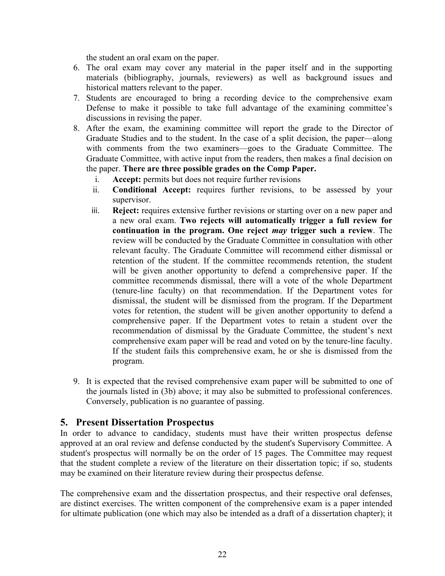the student an oral exam on the paper.

- 6. The oral exam may cover any material in the paper itself and in the supporting materials (bibliography, journals, reviewers) as well as background issues and historical matters relevant to the paper.
- 7. Students are encouraged to bring a recording device to the comprehensive exam Defense to make it possible to take full advantage of the examining committee's discussions in revising the paper.
- 8. After the exam, the examining committee will report the grade to the Director of Graduate Studies and to the student. In the case of a split decision, the paper—along with comments from the two examiners—goes to the Graduate Committee. The Graduate Committee, with active input from the readers, then makes a final decision on the paper. **There are three possible grades on the Comp Paper.**
	- i. **Accept:** permits but does not require further revisions
	- ii. **Conditional Accept:** requires further revisions, to be assessed by your supervisor.
	- iii. **Reject:** requires extensive further revisions or starting over on a new paper and a new oral exam. **Two rejects will automatically trigger a full review for continuation in the program. One reject** *may* **trigger such a review**. The review will be conducted by the Graduate Committee in consultation with other relevant faculty. The Graduate Committee will recommend either dismissal or retention of the student. If the committee recommends retention, the student will be given another opportunity to defend a comprehensive paper. If the committee recommends dismissal, there will a vote of the whole Department (tenure-line faculty) on that recommendation. If the Department votes for dismissal, the student will be dismissed from the program. If the Department votes for retention, the student will be given another opportunity to defend a comprehensive paper. If the Department votes to retain a student over the recommendation of dismissal by the Graduate Committee, the student's next comprehensive exam paper will be read and voted on by the tenure-line faculty. If the student fails this comprehensive exam, he or she is dismissed from the program.
- 9. It is expected that the revised comprehensive exam paper will be submitted to one of the journals listed in (3b) above; it may also be submitted to professional conferences. Conversely, publication is no guarantee of passing.

### **5. Present Dissertation Prospectus**

In order to advance to candidacy, students must have their written prospectus defense approved at an oral review and defense conducted by the student's Supervisory Committee. A student's prospectus will normally be on the order of 15 pages. The Committee may request that the student complete a review of the literature on their dissertation topic; if so, students may be examined on their literature review during their prospectus defense.

The comprehensive exam and the dissertation prospectus, and their respective oral defenses, are distinct exercises. The written component of the comprehensive exam is a paper intended for ultimate publication (one which may also be intended as a draft of a dissertation chapter); it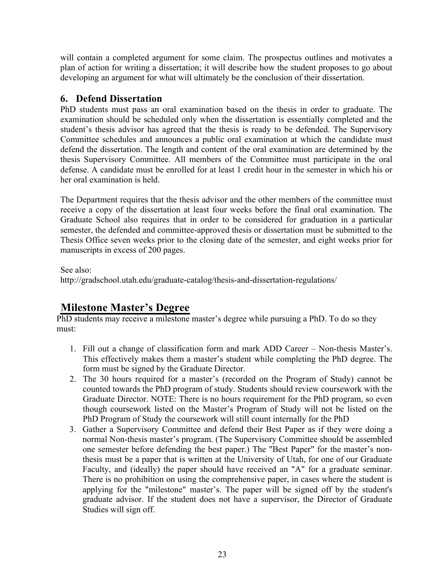will contain a completed argument for some claim. The prospectus outlines and motivates a plan of action for writing a dissertation; it will describe how the student proposes to go about developing an argument for what will ultimately be the conclusion of their dissertation.

## **6. Defend Dissertation**

PhD students must pass an oral examination based on the thesis in order to graduate. The examination should be scheduled only when the dissertation is essentially completed and the student's thesis advisor has agreed that the thesis is ready to be defended. The Supervisory Committee schedules and announces a public oral examination at which the candidate must defend the dissertation. The length and content of the oral examination are determined by the thesis Supervisory Committee. All members of the Committee must participate in the oral defense. A candidate must be enrolled for at least 1 credit hour in the semester in which his or her oral examination is held.

The Department requires that the thesis advisor and the other members of the committee must receive a copy of the dissertation at least four weeks before the final oral examination. The Graduate School also requires that in order to be considered for graduation in a particular semester, the defended and committee-approved thesis or dissertation must be submitted to the Thesis Office seven weeks prior to the closing date of the semester, and eight weeks prior for manuscripts in excess of 200 pages.

See also:

http://gradschool.utah.edu/graduate-catalog/thesis-and-dissertation-regulations/

# **Milestone Master's Degree**

PhD students may receive a milestone master's degree while pursuing a PhD. To do so they must:

- 1. Fill out a change of classification form and mark ADD Career Non-thesis Master's. This effectively makes them a master's student while completing the PhD degree. The form must be signed by the Graduate Director.
- 2. The 30 hours required for a master's (recorded on the Program of Study) cannot be counted towards the PhD program of study. Students should review coursework with the Graduate Director. NOTE: There is no hours requirement for the PhD program, so even though coursework listed on the Master's Program of Study will not be listed on the PhD Program of Study the coursework will still count internally for the PhD
- 3. Gather a Supervisory Committee and defend their Best Paper as if they were doing a normal Non-thesis master's program. (The Supervisory Committee should be assembled one semester before defending the best paper.) The "Best Paper" for the master's nonthesis must be a paper that is written at the University of Utah, for one of our Graduate Faculty, and (ideally) the paper should have received an "A" for a graduate seminar. There is no prohibition on using the comprehensive paper, in cases where the student is applying for the "milestone" master's. The paper will be signed off by the student's graduate advisor. If the student does not have a supervisor, the Director of Graduate Studies will sign off.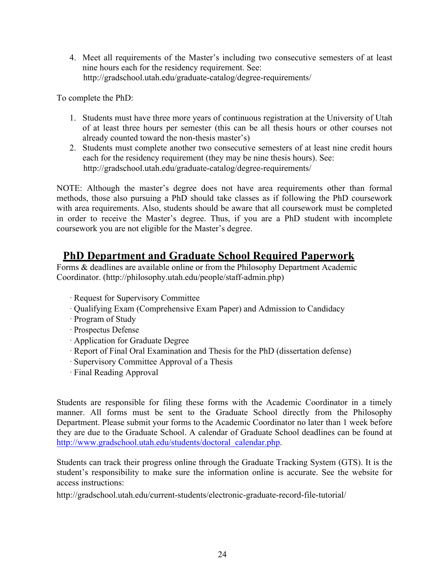4. Meet all requirements of the Master's including two consecutive semesters of at least nine hours each for the residency requirement. See: http://gradschool.utah.edu/graduate-catalog/degree-requirements/

To complete the PhD:

- 1. Students must have three more years of continuous registration at the University of Utah of at least three hours per semester (this can be all thesis hours or other courses not already counted toward the non-thesis master's)
- 2. Students must complete another two consecutive semesters of at least nine credit hours each for the residency requirement (they may be nine thesis hours). See: http://gradschool.utah.edu/graduate-catalog/degree-requirements/

NOTE: Although the master's degree does not have area requirements other than formal methods, those also pursuing a PhD should take classes as if following the PhD coursework with area requirements. Also, students should be aware that all coursework must be completed in order to receive the Master's degree. Thus, if you are a PhD student with incomplete coursework you are not eligible for the Master's degree.

# **PhD Department and Graduate School Required Paperwork**

Forms & deadlines are available online or from the Philosophy Department Academic Coordinator. (http://philosophy.utah.edu/people/staff-admin.php)

- · Request for Supervisory Committee
- · Qualifying Exam (Comprehensive Exam Paper) and Admission to Candidacy
- · Program of Study
- · Prospectus Defense
- · Application for Graduate Degree
- · Report of Final Oral Examination and Thesis for the PhD (dissertation defense)
- · Supervisory Committee Approval of a Thesis
- · Final Reading Approval

Students are responsible for filing these forms with the Academic Coordinator in a timely manner. All forms must be sent to the Graduate School directly from the Philosophy Department. Please submit your forms to the Academic Coordinator no later than 1 week before they are due to the Graduate School. A calendar of Graduate School deadlines can be found at http://www.gradschool.utah.edu/students/doctoral\_calendar.php.

Students can track their progress online through the Graduate Tracking System (GTS). It is the student's responsibility to make sure the information online is accurate. See the website for access instructions:

http://gradschool.utah.edu/current-students/electronic-graduate-record-file-tutorial/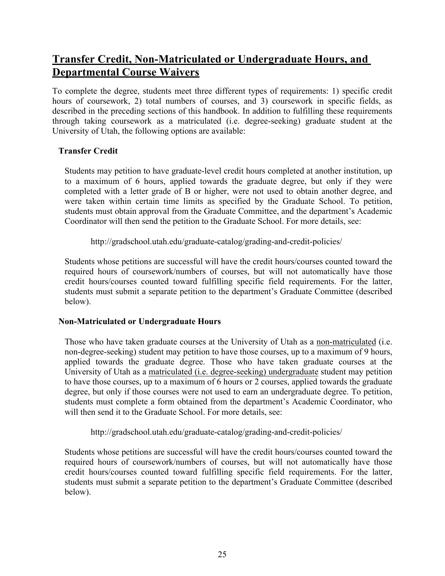# **Transfer Credit, Non-Matriculated or Undergraduate Hours, and Departmental Course Waivers**

To complete the degree, students meet three different types of requirements: 1) specific credit hours of coursework, 2) total numbers of courses, and 3) coursework in specific fields, as described in the preceding sections of this handbook. In addition to fulfilling these requirements through taking coursework as a matriculated (i.e. degree-seeking) graduate student at the University of Utah, the following options are available:

### **Transfer Credit**

Students may petition to have graduate-level credit hours completed at another institution, up to a maximum of 6 hours, applied towards the graduate degree, but only if they were completed with a letter grade of B or higher, were not used to obtain another degree, and were taken within certain time limits as specified by the Graduate School. To petition, students must obtain approval from the Graduate Committee, and the department's Academic Coordinator will then send the petition to the Graduate School. For more details, see:

http://gradschool.utah.edu/graduate-catalog/grading-and-credit-policies/

Students whose petitions are successful will have the credit hours/courses counted toward the required hours of coursework/numbers of courses, but will not automatically have those credit hours/courses counted toward fulfilling specific field requirements. For the latter, students must submit a separate petition to the department's Graduate Committee (described below).

## **Non-Matriculated or Undergraduate Hours**

Those who have taken graduate courses at the University of Utah as a non-matriculated (i.e. non-degree-seeking) student may petition to have those courses, up to a maximum of 9 hours, applied towards the graduate degree. Those who have taken graduate courses at the University of Utah as a matriculated (i.e. degree-seeking) undergraduate student may petition to have those courses, up to a maximum of 6 hours or 2 courses, applied towards the graduate degree, but only if those courses were not used to earn an undergraduate degree. To petition, students must complete a form obtained from the department's Academic Coordinator, who will then send it to the Graduate School. For more details, see:

http://gradschool.utah.edu/graduate-catalog/grading-and-credit-policies/

Students whose petitions are successful will have the credit hours/courses counted toward the required hours of coursework/numbers of courses, but will not automatically have those credit hours/courses counted toward fulfilling specific field requirements. For the latter, students must submit a separate petition to the department's Graduate Committee (described below).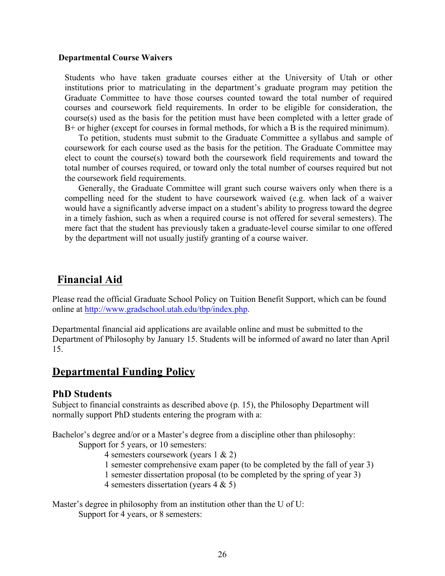#### **Departmental Course Waivers**

Students who have taken graduate courses either at the University of Utah or other institutions prior to matriculating in the department's graduate program may petition the Graduate Committee to have those courses counted toward the total number of required courses and coursework field requirements. In order to be eligible for consideration, the course(s) used as the basis for the petition must have been completed with a letter grade of B+ or higher (except for courses in formal methods, for which a B is the required minimum).

To petition, students must submit to the Graduate Committee a syllabus and sample of coursework for each course used as the basis for the petition. The Graduate Committee may elect to count the course(s) toward both the coursework field requirements and toward the total number of courses required, or toward only the total number of courses required but not the coursework field requirements.

Generally, the Graduate Committee will grant such course waivers only when there is a compelling need for the student to have coursework waived (e.g. when lack of a waiver would have a significantly adverse impact on a student's ability to progress toward the degree in a timely fashion, such as when a required course is not offered for several semesters). The mere fact that the student has previously taken a graduate-level course similar to one offered by the department will not usually justify granting of a course waiver.

# **Financial Aid**

Please read the official Graduate School Policy on Tuition Benefit Support, which can be found online at http://www.gradschool.utah.edu/tbp/index.php.

Departmental financial aid applications are available online and must be submitted to the Department of Philosophy by January 15. Students will be informed of award no later than April 15.

# **Departmental Funding Policy**

## **PhD Students**

Subject to financial constraints as described above (p. 15), the Philosophy Department will normally support PhD students entering the program with a:

Bachelor's degree and/or or a Master's degree from a discipline other than philosophy: Support for 5 years, or 10 semesters:

- 4 semesters coursework (years 1 & 2)
- 1 semester comprehensive exam paper (to be completed by the fall of year 3)
- 1 semester dissertation proposal (to be completed by the spring of year 3)
- 4 semesters dissertation (years 4 & 5)

Master's degree in philosophy from an institution other than the U of U: Support for 4 years, or 8 semesters: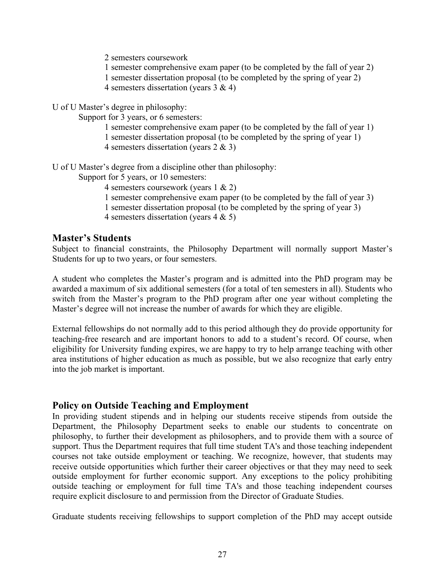2 semesters coursework

1 semester comprehensive exam paper (to be completed by the fall of year 2)

- 1 semester dissertation proposal (to be completed by the spring of year 2)
- 4 semesters dissertation (years 3 & 4)

U of U Master's degree in philosophy:

Support for 3 years, or 6 semesters:

1 semester comprehensive exam paper (to be completed by the fall of year 1) 1 semester dissertation proposal (to be completed by the spring of year 1)

4 semesters dissertation (years 2 & 3)

U of U Master's degree from a discipline other than philosophy:

Support for 5 years, or 10 semesters:

4 semesters coursework (years 1 & 2)

- 1 semester comprehensive exam paper (to be completed by the fall of year 3)
- 1 semester dissertation proposal (to be completed by the spring of year 3)
- 4 semesters dissertation (years 4 & 5)

### **Master's Students**

Subject to financial constraints, the Philosophy Department will normally support Master's Students for up to two years, or four semesters.

A student who completes the Master's program and is admitted into the PhD program may be awarded a maximum of six additional semesters (for a total of ten semesters in all). Students who switch from the Master's program to the PhD program after one year without completing the Master's degree will not increase the number of awards for which they are eligible.

External fellowships do not normally add to this period although they do provide opportunity for teaching-free research and are important honors to add to a student's record. Of course, when eligibility for University funding expires, we are happy to try to help arrange teaching with other area institutions of higher education as much as possible, but we also recognize that early entry into the job market is important.

### **Policy on Outside Teaching and Employment**

In providing student stipends and in helping our students receive stipends from outside the Department, the Philosophy Department seeks to enable our students to concentrate on philosophy, to further their development as philosophers, and to provide them with a source of support. Thus the Department requires that full time student TA's and those teaching independent courses not take outside employment or teaching. We recognize, however, that students may receive outside opportunities which further their career objectives or that they may need to seek outside employment for further economic support. Any exceptions to the policy prohibiting outside teaching or employment for full time TA's and those teaching independent courses require explicit disclosure to and permission from the Director of Graduate Studies.

Graduate students receiving fellowships to support completion of the PhD may accept outside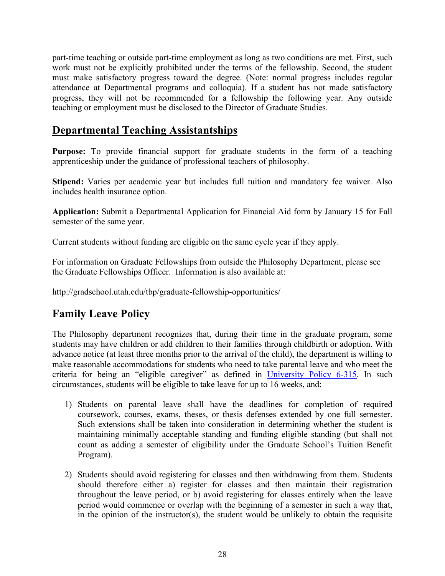part-time teaching or outside part-time employment as long as two conditions are met. First, such work must not be explicitly prohibited under the terms of the fellowship. Second, the student must make satisfactory progress toward the degree. (Note: normal progress includes regular attendance at Departmental programs and colloquia). If a student has not made satisfactory progress, they will not be recommended for a fellowship the following year. Any outside teaching or employment must be disclosed to the Director of Graduate Studies.

# **Departmental Teaching Assistantships**

Purpose: To provide financial support for graduate students in the form of a teaching apprenticeship under the guidance of professional teachers of philosophy.

**Stipend:** Varies per academic year but includes full tuition and mandatory fee waiver. Also includes health insurance option.

**Application:** Submit a Departmental Application for Financial Aid form by January 15 for Fall semester of the same year.

Current students without funding are eligible on the same cycle year if they apply.

For information on Graduate Fellowships from outside the Philosophy Department, please see the Graduate Fellowships Officer. Information is also available at:

http://gradschool.utah.edu/tbp/graduate-fellowship-opportunities/

# **Family Leave Policy**

The Philosophy department recognizes that, during their time in the graduate program, some students may have children or add children to their families through childbirth or adoption. With advance notice (at least three months prior to the arrival of the child), the department is willing to make reasonable accommodations for students who need to take parental leave and who meet the criteria for being an "eligible caregiver" as defined in University Policy 6-315. In such circumstances, students will be eligible to take leave for up to 16 weeks, and:

- 1) Students on parental leave shall have the deadlines for completion of required coursework, courses, exams, theses, or thesis defenses extended by one full semester. Such extensions shall be taken into consideration in determining whether the student is maintaining minimally acceptable standing and funding eligible standing (but shall not count as adding a semester of eligibility under the Graduate School's Tuition Benefit Program).
- 2) Students should avoid registering for classes and then withdrawing from them. Students should therefore either a) register for classes and then maintain their registration throughout the leave period, or b) avoid registering for classes entirely when the leave period would commence or overlap with the beginning of a semester in such a way that, in the opinion of the instructor(s), the student would be unlikely to obtain the requisite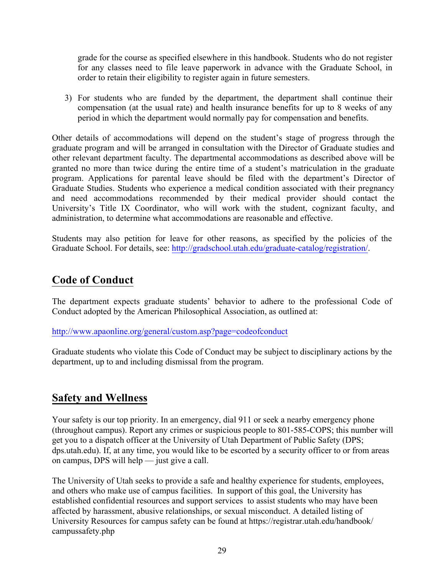grade for the course as specified elsewhere in this handbook. Students who do not register for any classes need to file leave paperwork in advance with the Graduate School, in order to retain their eligibility to register again in future semesters.

3) For students who are funded by the department, the department shall continue their compensation (at the usual rate) and health insurance benefits for up to 8 weeks of any period in which the department would normally pay for compensation and benefits.

Other details of accommodations will depend on the student's stage of progress through the graduate program and will be arranged in consultation with the Director of Graduate studies and other relevant department faculty. The departmental accommodations as described above will be granted no more than twice during the entire time of a student's matriculation in the graduate program. Applications for parental leave should be filed with the department's Director of Graduate Studies. Students who experience a medical condition associated with their pregnancy and need accommodations recommended by their medical provider should contact the University's Title IX Coordinator, who will work with the student, cognizant faculty, and administration, to determine what accommodations are reasonable and effective.

Students may also petition for leave for other reasons, as specified by the policies of the Graduate School. For details, see: http://gradschool.utah.edu/graduate-catalog/registration/.

# **Code of Conduct**

The department expects graduate students' behavior to adhere to the professional Code of Conduct adopted by the American Philosophical Association, as outlined at:

http://www.apaonline.org/general/custom.asp?page=codeofconduct

Graduate students who violate this Code of Conduct may be subject to disciplinary actions by the department, up to and including dismissal from the program.

# **Safety and Wellness**

Your safety is our top priority. In an emergency, dial 911 or seek a nearby emergency phone (throughout campus). Report any crimes or suspicious people to 801-585-COPS; this number will get you to a dispatch officer at the University of Utah Department of Public Safety (DPS; dps.utah.edu). If, at any time, you would like to be escorted by a security officer to or from areas on campus, DPS will help — just give a call.

The University of Utah seeks to provide a safe and healthy experience for students, employees, and others who make use of campus facilities. In support of this goal, the University has established confidential resources and support services to assist students who may have been affected by harassment, abusive relationships, or sexual misconduct. A detailed listing of University Resources for campus safety can be found at https://registrar.utah.edu/handbook/ campussafety.php